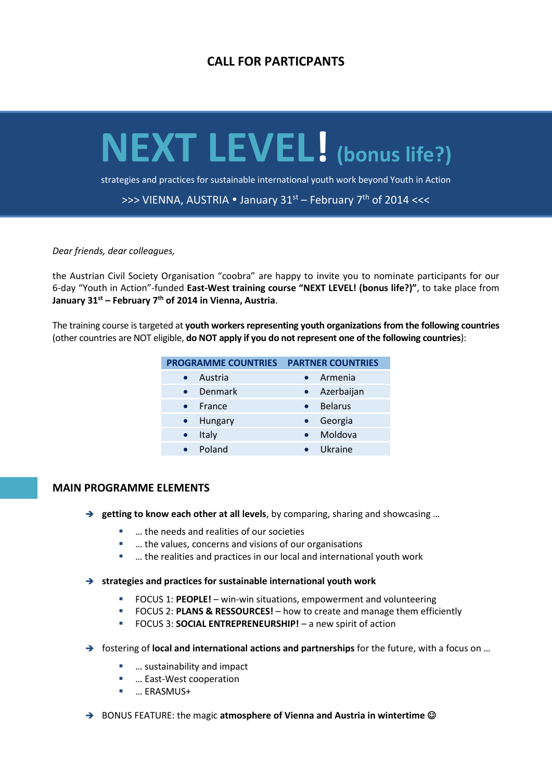# **CALL FOR PARTICPANTS**

# **NEXT LEVEL! (bonus life?)**

strategies and practices for sustainable international youth work beyond Youth in Action

>>> VIENNA, AUSTRIA  $\bullet$  January 31st – February 7<sup>th</sup> of 2014 <<<

#### *Dear friends, dear colleagues,*

the Austrian Civil Society Organisation "coobra" are happy to invite you to nominate participants for our 6-day "Youth in Action"-funded **East-West training course "NEXT LEVEL! (bonus life?)"**, to take place from **January 31st – February 7th of 2014 in Vienna, Austria**.

The training course is targeted at **youth workers representing youth organizations from the following countries** (other countries are NOT eligible, **do NOT apply if you do not represent one of the following countries**):

| <b>PROGRAMME COUNTRIES</b> | <b>PARTNER COUNTRIES</b> |
|----------------------------|--------------------------|
| Austria                    | Armenia                  |
| Denmark                    | Azerbaijan               |
| France                     | <b>Belarus</b>           |
| Hungary                    | Georgia                  |
| Italy                      | Moldova                  |
| Poland                     | Ukraine                  |
|                            |                          |

#### **MAIN PROGRAMME ELEMENTS**

- **→** getting to know each other at all levels, by comparing, sharing and showcasing ...
	- … the needs and realities of our societies
	- … the values, concerns and visions of our organisations
	- … the realities and practices in our local and international youth work
- **strategies and practices for sustainable international youth work**
	- FOCUS 1: **PEOPLE!** win-win situations, empowerment and volunteering
	- FOCUS 2: **PLANS & RESSOURCES!** how to create and manage them efficiently
	- FOCUS 3: **SOCIAL ENTREPRENEURSHIP!** a new spirit of action
- fostering of **local and international actions and partnerships** for the future, with a focus on …
	- … sustainability and impact
	- … East-West cooperation
	- … ERASMUS+
- → BONUS FEATURE: the magic **atmosphere of Vienna and Austria in wintertime** ©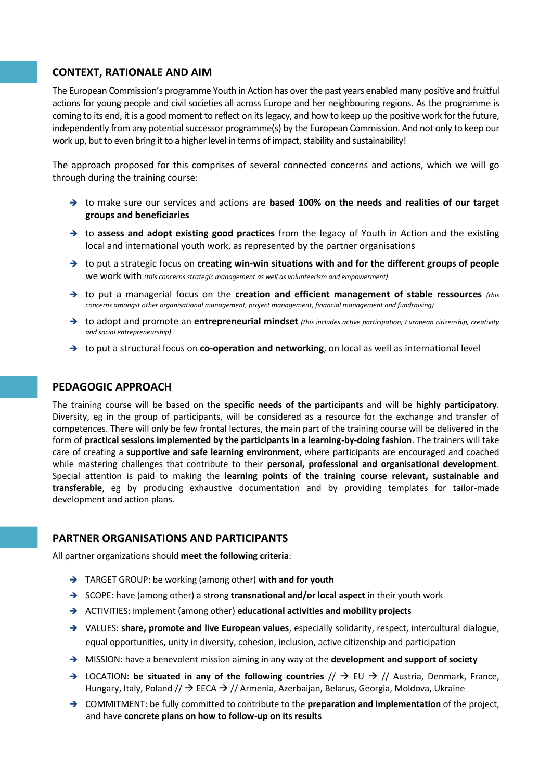# **CONTEXT, RATIONALE AND AIM**

The European Commission's programme Youth in Action has over the past years enabled many positive and fruitful actions for young people and civil societies all across Europe and her neighbouring regions. As the programme is coming to its end, it is a good moment to reflect on its legacy, and how to keep up the positive work for the future, independently from any potential successor programme(s) by the European Commission. And not only to keep our work up, but to even bring it to a higher level in terms of impact, stability and sustainability!

The approach proposed for this comprises of several connected concerns and actions, which we will go through during the training course:

- → to make sure our services and actions are **based 100% on the needs and realities of our target groups and beneficiaries**
- → to assess and adopt existing good practices from the legacy of Youth in Action and the existing local and international youth work, as represented by the partner organisations
- → to put a strategic focus on **creating win-win situations with and for the different groups of people** we work with *(this concerns strategic management as well as volunteerism and empowerment)*
- → to put a managerial focus on the **creation and efficient management of stable ressources** *(this concerns amongst other organisational management, project management, financial management and fundraising)*
- to adopt and promote an **entrepreneurial mindset** *(this includes active participation, European citizenship, creativity and social entrepreneurship)*
- → to put a structural focus on **co-operation and networking**, on local as well as international level

#### **PEDAGOGIC APPROACH**

The training course will be based on the **specific needs of the participants** and will be **highly participatory**. Diversity, eg in the group of participants, will be considered as a resource for the exchange and transfer of competences. There will only be few frontal lectures, the main part of the training course will be delivered in the form of **practical sessions implemented by the participants in a learning-by-doing fashion**. The trainers will take care of creating a **supportive and safe learning environment**, where participants are encouraged and coached while mastering challenges that contribute to their **personal, professional and organisational development**. Special attention is paid to making the **learning points of the training course relevant, sustainable and transferable**, eg by producing exhaustive documentation and by providing templates for tailor-made development and action plans.

# **PARTNER ORGANISATIONS AND PARTICIPANTS**

All partner organizations should **meet the following criteria**:

- TARGET GROUP: be working (among other) **with and for youth**
- → SCOPE: have (among other) a strong **transnational and/or local aspect** in their youth work
- ACTIVITIES: implement (among other) **educational activities and mobility projects**
- VALUES: **share, promote and live European values**, especially solidarity, respect, intercultural dialogue, equal opportunities, unity in diversity, cohesion, inclusion, active citizenship and participation
- → MISSION: have a benevolent mission aiming in any way at the **development and support of society**
- $\rightarrow$  LOCATION: be situated in any of the following countries  $//\rightarrow$  EU  $\rightarrow$  // Austria, Denmark, France, Hungary, Italy, Poland //  $\rightarrow$  EECA  $\rightarrow$  // Armenia, Azerbaijan, Belarus, Georgia, Moldova, Ukraine
- COMMITMENT: be fully committed to contribute to the **preparation and implementation** of the project, and have **concrete plans on how to follow-up on its results**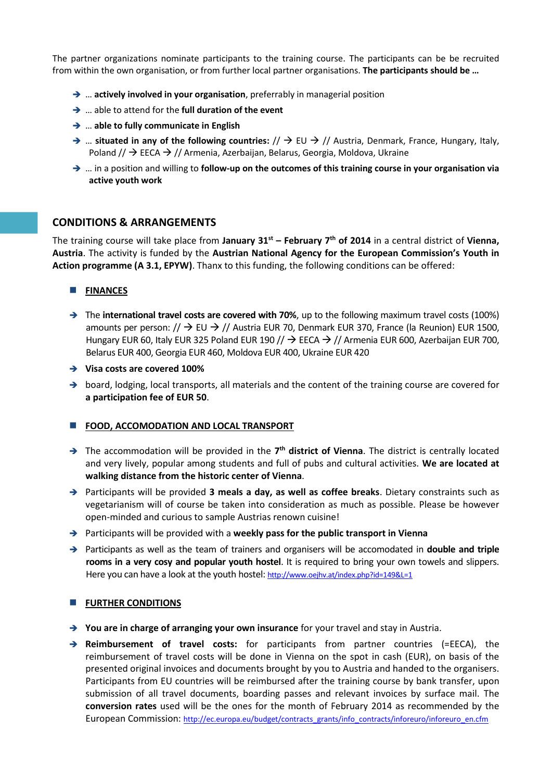The partner organizations nominate participants to the training course. The participants can be be recruited from within the own organisation, or from further local partner organisations. **The participants should be …**

- → ... **actively involved in your organisation**, preferrably in managerial position
- … able to attend for the **full duration of the event**
- … **able to fully communicate in English**
- $\rightarrow$  ... situated in any of the following countries:  $/$   $\rightarrow$  EU  $\rightarrow$  // Austria, Denmark, France, Hungary, Italy, Poland  $\frac{1}{2}$  EECA  $\rightarrow$  // Armenia, Azerbaijan, Belarus, Georgia, Moldova, Ukraine
- … in a position and willing to **follow-up on the outcomes of this training course in your organisation via active youth work**

# **CONDITIONS & ARRANGEMENTS**

The training course will take place from **January 31st – February 7th of 2014** in a central district of **Vienna, Austria**. The activity is funded by the **Austrian National Agency for the European Commission's Youth in Action programme (A 3.1, EPYW)**. Thanx to this funding, the following conditions can be offered:

#### **FINANCES**

- → The **international travel costs are covered with 70%**, up to the following maximum travel costs (100%) amounts per person:  $\frac{1}{2}$  EU  $\rightarrow$  // Austria EUR 70, Denmark EUR 370, France (la Reunion) EUR 1500, Hungary EUR 60, Italy EUR 325 Poland EUR 190 //  $\rightarrow$  EECA  $\rightarrow$  // Armenia EUR 600, Azerbaijan EUR 700, Belarus EUR 400, Georgia EUR 460, Moldova EUR 400, Ukraine EUR 420
- **Visa costs are covered 100%**
- $\rightarrow$  board, lodging, local transports, all materials and the content of the training course are covered for **a participation fee of EUR 50**.

#### **FOOD, ACCOMODATION AND LOCAL TRANSPORT**

- → The accommodation will be provided in the 7<sup>th</sup> district of Vienna. The district is centrally located and very lively, popular among students and full of pubs and cultural activities. **We are located at walking distance from the historic center of Vienna**.
- → Participants will be provided 3 meals a day, as well as coffee breaks. Dietary constraints such as vegetarianism will of course be taken into consideration as much as possible. Please be however open-minded and curious to sample Austrias renown cuisine!
- Participants will be provided with a **weekly pass for the public transport in Vienna**
- → Participants as well as the team of trainers and organisers will be accomodated in **double and triple rooms in a very cosy and popular youth hostel**. It is required to bring your own towels and slippers. Here you can have a look at the youth hostel: <http://www.oejhv.at/index.php?id=149&L=1>

#### **FURTHER CONDITIONS**

- **→ You are in charge of arranging your own insurance** for your travel and stay in Austria.
- **Reimbursement of travel costs:** for participants from partner countries (=EECA), the reimbursement of travel costs will be done in Vienna on the spot in cash (EUR), on basis of the presented original invoices and documents brought by you to Austria and handed to the organisers. Participants from EU countries will be reimbursed after the training course by bank transfer, upon submission of all travel documents, boarding passes and relevant invoices by surface mail. The **conversion rates** used will be the ones for the month of February 2014 as recommended by the European Commission: [http://ec.europa.eu/budget/contracts\\_grants/info\\_contracts/inforeuro/inforeuro\\_en.cfm](http://ec.europa.eu/budget/contracts_grants/info_contracts/inforeuro/inforeuro_en.cfm)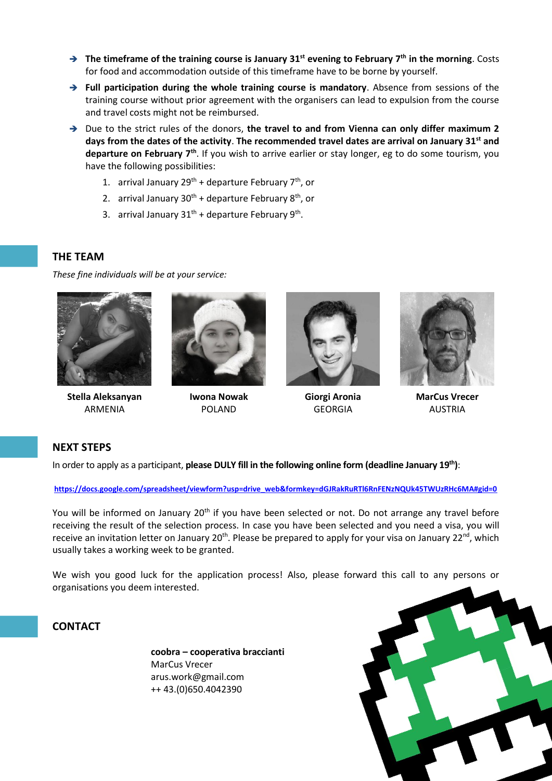- **The timeframe of the training course is January 31st evening to February 7th in the morning**. Costs for food and accommodation outside of this timeframe have to be borne by yourself.
- **Full participation during the whole training course is mandatory**. Absence from sessions of the training course without prior agreement with the organisers can lead to expulsion from the course and travel costs might not be reimbursed.
- → Due to the strict rules of the donors, the travel to and from Vienna can only differ maximum 2 **days from the dates of the activity**. **The recommended travel dates are arrival on January 31st and departure on February 7th** . If you wish to arrive earlier or stay longer, eg to do some tourism, you have the following possibilities:
	- 1. arrival January  $29^{th}$  + departure February  $7^{th}$ , or
	- 2. arrival January  $30^{th}$  + departure February  $8^{th}$ , or
	- 3. arrival January  $31^{th}$  + departure February  $9^{th}$ .

### **THE TEAM**

*These fine individuals will be at your service:*



**Stella Aleksanyan** ARMENIA



**Iwona Nowak** POLAND



**Giorgi Aronia** GEORGIA



**MarCus Vrecer** AUSTRIA

# **NEXT STEPS**

In order to apply as a participant, **please DULY fill in the following online form (deadline January 19th)**:

**[https://docs.google.com/spreadsheet/viewform?usp=drive\\_web&formkey=dGJRakRuRTl6RnFENzNQUk45TWUzRHc6MA#gid=0](https://docs.google.com/spreadsheet/viewform?usp=drive_web&formkey=dGJRakRuRTl6RnFENzNQUk45TWUzRHc6MA#gid=0)**

You will be informed on January 20<sup>th</sup> if you have been selected or not. Do not arrange any travel before receiving the result of the selection process. In case you have been selected and you need a visa, you will receive an invitation letter on January 20<sup>th</sup>. Please be prepared to apply for your visa on January 22<sup>nd</sup>, which usually takes a working week to be granted.

We wish you good luck for the application process! Also, please forward this call to any persons or organisations you deem interested.

# **CONTACT**

**coobra – cooperativa braccianti** MarCus Vrecer arus.work@gmail.com ++ 43.(0)650.4042390